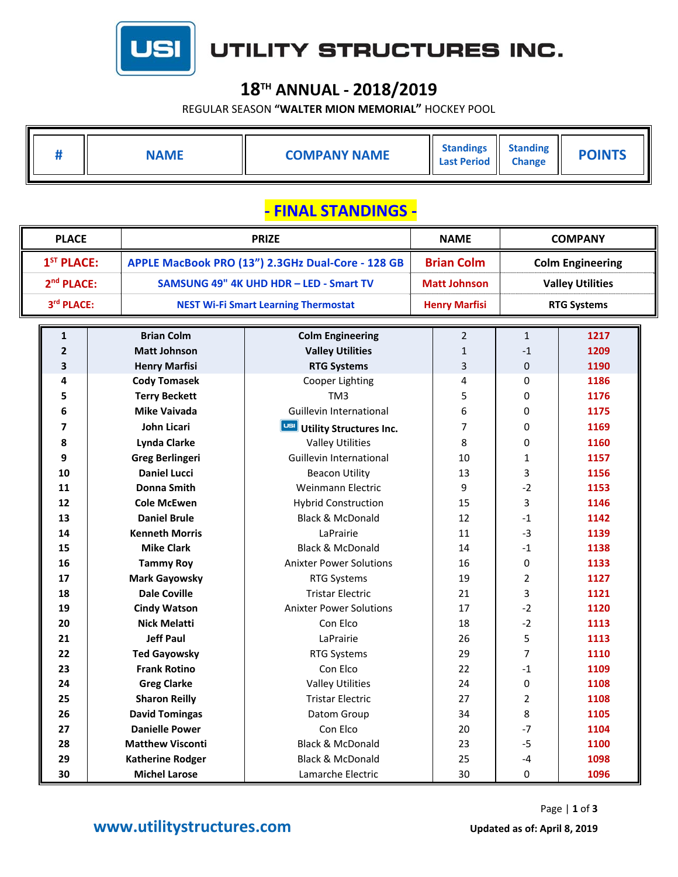

# UTILITY STRUCTURES INC.

### **18TH ANNUAL ‐ 2018/2019**

REGULAR SEASON **"WALTER MION MEMORIAL"** HOCKEY POOL

| #                      | <b>NAME</b>             | <b>COMPANY NAME</b>                               | <b>Standings</b><br><b>Last Period</b> | <b>Standing</b><br><b>Change</b> | <b>POINTS</b>           |  |  |  |  |
|------------------------|-------------------------|---------------------------------------------------|----------------------------------------|----------------------------------|-------------------------|--|--|--|--|
| - FINAL STANDINGS -    |                         |                                                   |                                        |                                  |                         |  |  |  |  |
| <b>PLACE</b>           |                         | <b>PRIZE</b>                                      |                                        |                                  | <b>COMPANY</b>          |  |  |  |  |
| 1 <sup>ST</sup> PLACE: |                         | APPLE MacBook PRO (13") 2.3GHz Dual-Core - 128 GB |                                        |                                  | <b>Colm Engineering</b> |  |  |  |  |
| 2 <sup>nd</sup> PLACE: |                         | SAMSUNG 49" 4K UHD HDR - LED - Smart TV           |                                        |                                  | <b>Valley Utilities</b> |  |  |  |  |
| 3rd PLACE:             |                         | <b>NEST Wi-Fi Smart Learning Thermostat</b>       |                                        |                                  | <b>RTG Systems</b>      |  |  |  |  |
|                        |                         |                                                   | <b>Henry Marfisi</b>                   |                                  |                         |  |  |  |  |
| 1                      | <b>Brian Colm</b>       | <b>Colm Engineering</b>                           | $\overline{2}$                         | $\mathbf{1}$                     | 1217                    |  |  |  |  |
| $\mathbf{2}$           | <b>Matt Johnson</b>     | <b>Valley Utilities</b>                           | $\mathbf{1}$                           | $-1$                             | 1209                    |  |  |  |  |
| 3                      | <b>Henry Marfisi</b>    | <b>RTG Systems</b>                                | 3                                      | 0                                | 1190                    |  |  |  |  |
| 4                      | <b>Cody Tomasek</b>     | Cooper Lighting                                   | 4                                      | 0                                | 1186                    |  |  |  |  |
| 5                      | <b>Terry Beckett</b>    | TM3                                               | 5                                      | 0                                | 1176                    |  |  |  |  |
| 6                      | <b>Mike Vaivada</b>     | Guillevin International                           | 6                                      | 0                                | 1175                    |  |  |  |  |
| 7                      | John Licari             | Utility Structures Inc.                           | 7                                      | 0                                | 1169                    |  |  |  |  |
| 8                      | <b>Lynda Clarke</b>     | <b>Valley Utilities</b>                           | 8                                      | 0                                | 1160                    |  |  |  |  |
| 9                      | <b>Greg Berlingeri</b>  | Guillevin International                           | 10                                     | 1                                | 1157                    |  |  |  |  |
| 10                     | <b>Daniel Lucci</b>     | <b>Beacon Utility</b>                             | 13                                     | 3                                | 1156                    |  |  |  |  |
| 11                     | <b>Donna Smith</b>      | Weinmann Electric                                 | 9                                      | $-2$                             | 1153                    |  |  |  |  |
| 12                     | <b>Cole McEwen</b>      | <b>Hybrid Construction</b>                        | 15                                     | 3                                | 1146                    |  |  |  |  |
| 13                     | <b>Daniel Brule</b>     | <b>Black &amp; McDonald</b>                       | 12                                     | $-1$                             | 1142                    |  |  |  |  |
| 14                     | <b>Kenneth Morris</b>   | LaPrairie                                         | 11                                     | $-3$                             | 1139                    |  |  |  |  |
| 15                     | <b>Mike Clark</b>       | <b>Black &amp; McDonald</b>                       | 14                                     | $-1$                             | 1138                    |  |  |  |  |
| 16                     | <b>Tammy Roy</b>        | <b>Anixter Power Solutions</b>                    | 16                                     | 0                                | 1133                    |  |  |  |  |
| 17                     | <b>Mark Gayowsky</b>    | <b>RTG Systems</b>                                | 19                                     | 2                                | 1127                    |  |  |  |  |
| 18                     | <b>Dale Coville</b>     | <b>Tristar Electric</b>                           | 21                                     | 3                                | 1121                    |  |  |  |  |
| 19                     | <b>Cindy Watson</b>     | <b>Anixter Power Solutions</b>                    | 17                                     | $-2$                             | 1120                    |  |  |  |  |
| 20                     | <b>Nick Melatti</b>     | Con Elco                                          | 18                                     | $-2$                             | 1113                    |  |  |  |  |
| 21                     | <b>Jeff Paul</b>        | LaPrairie                                         | 26                                     | 5                                | 1113                    |  |  |  |  |
| 22                     | <b>Ted Gayowsky</b>     | <b>RTG Systems</b>                                | 29                                     | 7                                | 1110                    |  |  |  |  |
| 23                     | <b>Frank Rotino</b>     | Con Elco                                          | 22                                     | $-1$                             | 1109                    |  |  |  |  |
| 24                     | <b>Greg Clarke</b>      | <b>Valley Utilities</b>                           | 24                                     | 0                                | 1108                    |  |  |  |  |
| 25                     | <b>Sharon Reilly</b>    | <b>Tristar Electric</b>                           | 27                                     | $\overline{2}$                   | 1108                    |  |  |  |  |
| 26                     | <b>David Tomingas</b>   | Datom Group                                       | 34                                     | 8                                | 1105                    |  |  |  |  |
| 27                     | <b>Danielle Power</b>   | Con Elco                                          | 20                                     | $-7$                             | 1104                    |  |  |  |  |
| 28                     | <b>Matthew Visconti</b> | <b>Black &amp; McDonald</b>                       | 23                                     | $-5$                             | 1100                    |  |  |  |  |
| 29                     | <b>Katherine Rodger</b> | Black & McDonald                                  | 25                                     | $-4$                             | 1098                    |  |  |  |  |
| 30                     | <b>Michel Larose</b>    | Lamarche Electric                                 | 30                                     | $\pmb{0}$                        | 1096                    |  |  |  |  |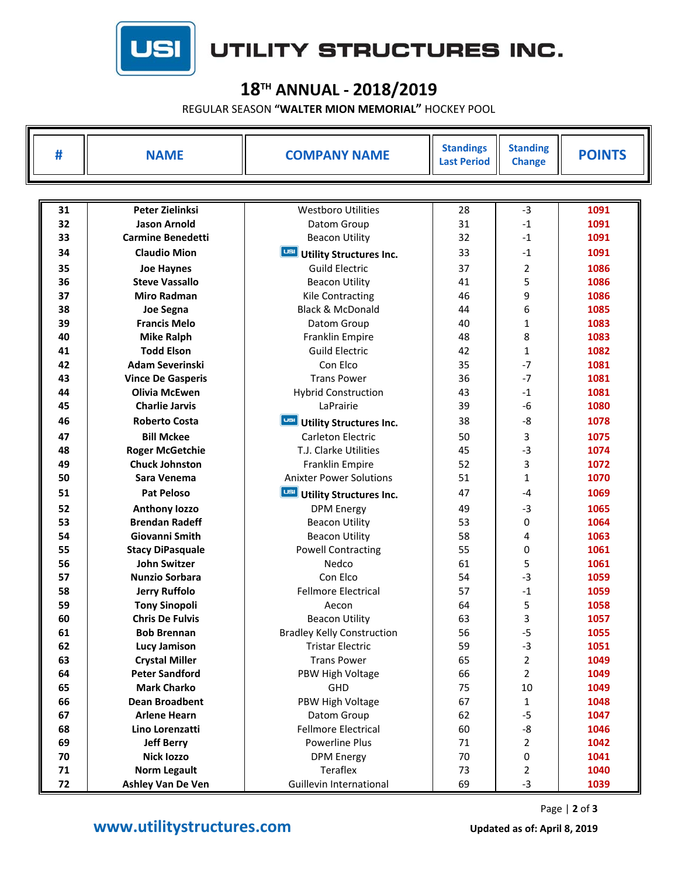

## UTILITY STRUCTURES INC.

### **18TH ANNUAL ‐ 2018/2019**

REGULAR SEASON **"WALTER MION MEMORIAL"** HOCKEY POOL

| #  | <b>NAME</b>              | <b>COMPANY NAME</b>                   | <b>Standings</b><br><b>Last Period</b> | <b>Standing</b><br><b>Change</b> | <b>POINTS</b> |  |  |
|----|--------------------------|---------------------------------------|----------------------------------------|----------------------------------|---------------|--|--|
|    |                          |                                       |                                        |                                  |               |  |  |
| 31 | <b>Peter Zielinksi</b>   | <b>Westboro Utilities</b>             | 28                                     | $-3$                             | 1091          |  |  |
| 32 | <b>Jason Arnold</b>      | Datom Group                           | 31                                     | $-1$                             | 1091          |  |  |
| 33 | <b>Carmine Benedetti</b> | <b>Beacon Utility</b>                 | 32                                     | $-1$                             | 1091          |  |  |
| 34 | <b>Claudio Mion</b>      | USI<br><b>Utility Structures Inc.</b> | 33                                     | $-1$                             | 1091          |  |  |
| 35 | <b>Joe Haynes</b>        | <b>Guild Electric</b>                 | 37                                     | 2                                | 1086          |  |  |
| 36 | <b>Steve Vassallo</b>    | <b>Beacon Utility</b>                 | 41                                     | 5                                | 1086          |  |  |
| 37 | <b>Miro Radman</b>       | Kile Contracting                      | 46                                     | 9                                | 1086          |  |  |
| 38 | <b>Joe Segna</b>         | <b>Black &amp; McDonald</b>           | 44                                     | 6                                | 1085          |  |  |
| 39 | <b>Francis Melo</b>      | Datom Group                           | 40                                     | $\mathbf{1}$                     | 1083          |  |  |
| 40 | <b>Mike Ralph</b>        | Franklin Empire                       | 48                                     | 8                                | 1083          |  |  |
| 41 | <b>Todd Elson</b>        | <b>Guild Electric</b>                 | 42                                     | $\mathbf{1}$                     | 1082          |  |  |
| 42 | <b>Adam Severinski</b>   | Con Elco                              | 35                                     | $-7$                             | 1081          |  |  |
| 43 | <b>Vince De Gasperis</b> | <b>Trans Power</b>                    | 36                                     | $-7$                             | 1081          |  |  |
| 44 | <b>Olivia McEwen</b>     | <b>Hybrid Construction</b>            | 43                                     | $-1$                             | 1081          |  |  |
| 45 | <b>Charlie Jarvis</b>    | LaPrairie                             | 39                                     | $-6$                             | 1080          |  |  |
| 46 | <b>Roberto Costa</b>     | USI<br><b>Utility Structures Inc.</b> | 38                                     | -8                               | 1078          |  |  |
| 47 | <b>Bill Mckee</b>        | Carleton Electric                     | 50                                     | 3                                | 1075          |  |  |
| 48 | <b>Roger McGetchie</b>   | T.J. Clarke Utilities                 | 45                                     | $-3$                             | 1074          |  |  |
| 49 | <b>Chuck Johnston</b>    | Franklin Empire                       | 52                                     | 3                                | 1072          |  |  |
| 50 | Sara Venema              | <b>Anixter Power Solutions</b>        | 51                                     | $\mathbf{1}$                     | 1070          |  |  |
| 51 | <b>Pat Peloso</b>        | USI<br><b>Utility Structures Inc.</b> | 47                                     | $-4$                             | 1069          |  |  |
| 52 | <b>Anthony lozzo</b>     | <b>DPM Energy</b>                     | 49                                     | $-3$                             | 1065          |  |  |
| 53 | <b>Brendan Radeff</b>    | <b>Beacon Utility</b>                 | 53                                     | 0                                | 1064          |  |  |
| 54 | Giovanni Smith           | <b>Beacon Utility</b>                 | 58                                     | 4                                | 1063          |  |  |
| 55 | <b>Stacy DiPasquale</b>  | <b>Powell Contracting</b>             | 55                                     | 0                                | 1061          |  |  |
| 56 | <b>John Switzer</b>      | Nedco                                 | 61                                     | 5                                | 1061          |  |  |
| 57 | <b>Nunzio Sorbara</b>    | Con Elco                              | 54                                     | $-3$                             | 1059          |  |  |
| 58 | <b>Jerry Ruffolo</b>     | <b>Fellmore Electrical</b>            | 57                                     | $-1$                             | 1059          |  |  |
| 59 | <b>Tony Sinopoli</b>     | Aecon                                 | 64                                     | 5                                | 1058          |  |  |
| 60 | <b>Chris De Fulvis</b>   | <b>Beacon Utility</b>                 | 63                                     | 3                                | 1057          |  |  |
| 61 | <b>Bob Brennan</b>       | <b>Bradley Kelly Construction</b>     | 56                                     | $-5$                             | 1055          |  |  |
| 62 | <b>Lucy Jamison</b>      | <b>Tristar Electric</b>               | 59                                     | $-3$                             | 1051          |  |  |
| 63 | <b>Crystal Miller</b>    | <b>Trans Power</b>                    | 65                                     | $\overline{2}$                   | 1049          |  |  |
| 64 | <b>Peter Sandford</b>    | PBW High Voltage                      | 66                                     | $\overline{2}$                   | 1049          |  |  |
| 65 | <b>Mark Charko</b>       | GHD                                   | 75                                     | 10                               | 1049          |  |  |
| 66 | <b>Dean Broadbent</b>    | PBW High Voltage                      | 67                                     | $\mathbf{1}$                     | 1048          |  |  |
| 67 | <b>Arlene Hearn</b>      | Datom Group                           | 62                                     | $-5$                             | 1047          |  |  |
| 68 | Lino Lorenzatti          | <b>Fellmore Electrical</b>            | 60                                     | -8                               | 1046          |  |  |
| 69 | <b>Jeff Berry</b>        | Powerline Plus                        | 71                                     | $\overline{2}$                   | 1042          |  |  |
| 70 | <b>Nick lozzo</b>        | <b>DPM Energy</b>                     | 70                                     | 0                                | 1041          |  |  |
| 71 | <b>Norm Legault</b>      | Teraflex                              | 73                                     | 2                                | 1040          |  |  |
| 72 | Ashley Van De Ven        | Guillevin International               | 69                                     | $-3$                             | 1039          |  |  |

Page | **2** of **3**